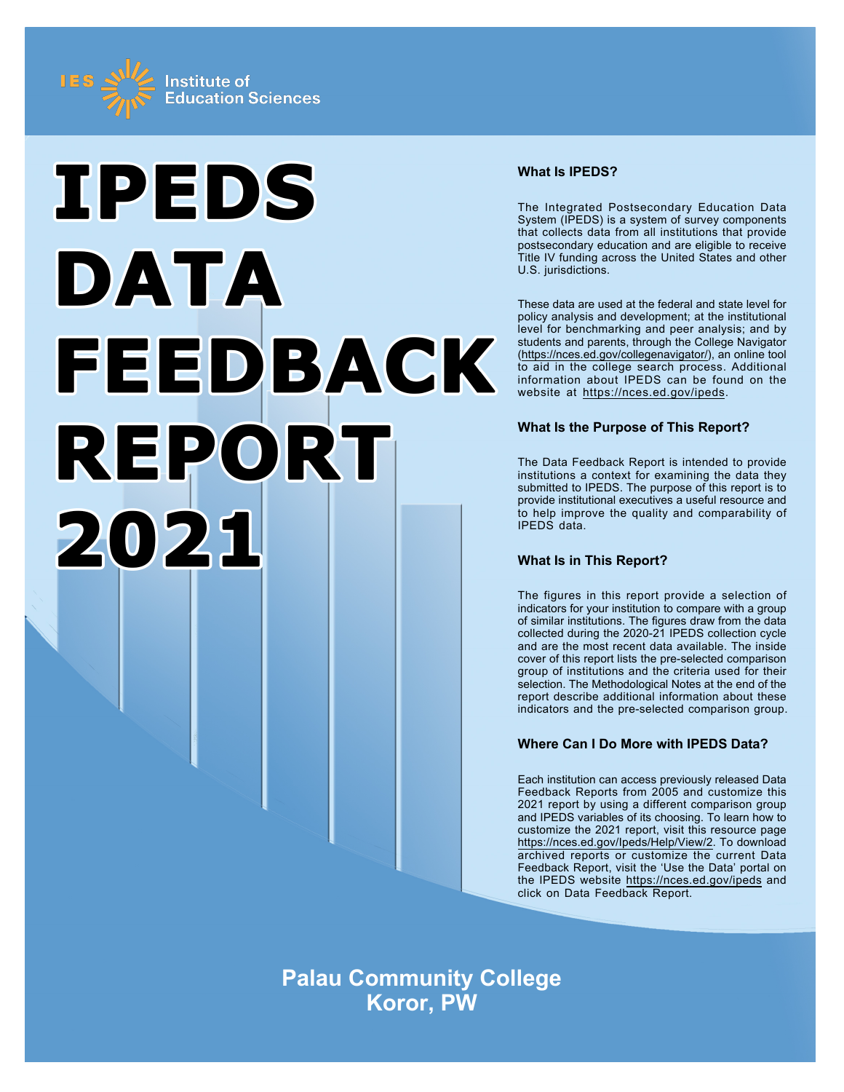



# **What Is IPEDS?**

The Integrated Postsecondary Education Data System (IPEDS) is a system of survey components that collects data from all institutions that provide postsecondary education and are eligible to receive Title IV funding across the United States and other U.S. jurisdictions.

These data are used at the federal and state level for policy analysis and development; at the institutional level for benchmarking and peer analysis; and by students and parents, through the College Navigator ([https://nces.ed.gov/collegenavigator/\)](https://nces.ed.gov/collegenavigator/), an online tool to aid in the college search process. Additional information about IPEDS can be found on the website at<https://nces.ed.gov/ipeds>.

# **What Is the Purpose of This Report?**

The Data Feedback Report is intended to provide institutions a context for examining the data they submitted to IPEDS. The purpose of this report is to provide institutional executives a useful resource and to help improve the quality and comparability of IPEDS data.

# **What Is in This Report?**

The figures in this report provide a selection of indicators for your institution to compare with a group of similar institutions. The figures draw from the data collected during the 2020-21 IPEDS collection cycle and are the most recent data available. The inside cover of this report lists the pre-selected comparison group of institutions and the criteria used for their selection. The Methodological Notes at the end of the report describe additional information about these indicators and the pre-selected comparison group.

# **Where Can I Do More with IPEDS Data?**

Each institution can access previously released Data Feedback Reports from 2005 and customize this 2021 report by using a different comparison group and IPEDS variables of its choosing. To learn how to customize the 2021 report, visit this resource page <https://nces.ed.gov/Ipeds/Help/View/2>. To download archived reports or customize the current Data Feedback Report, visit the 'Use the Data' portal on the IPEDS website<https://nces.ed.gov/ipeds> and click on Data Feedback Report.

**Palau Community College Koror, PW**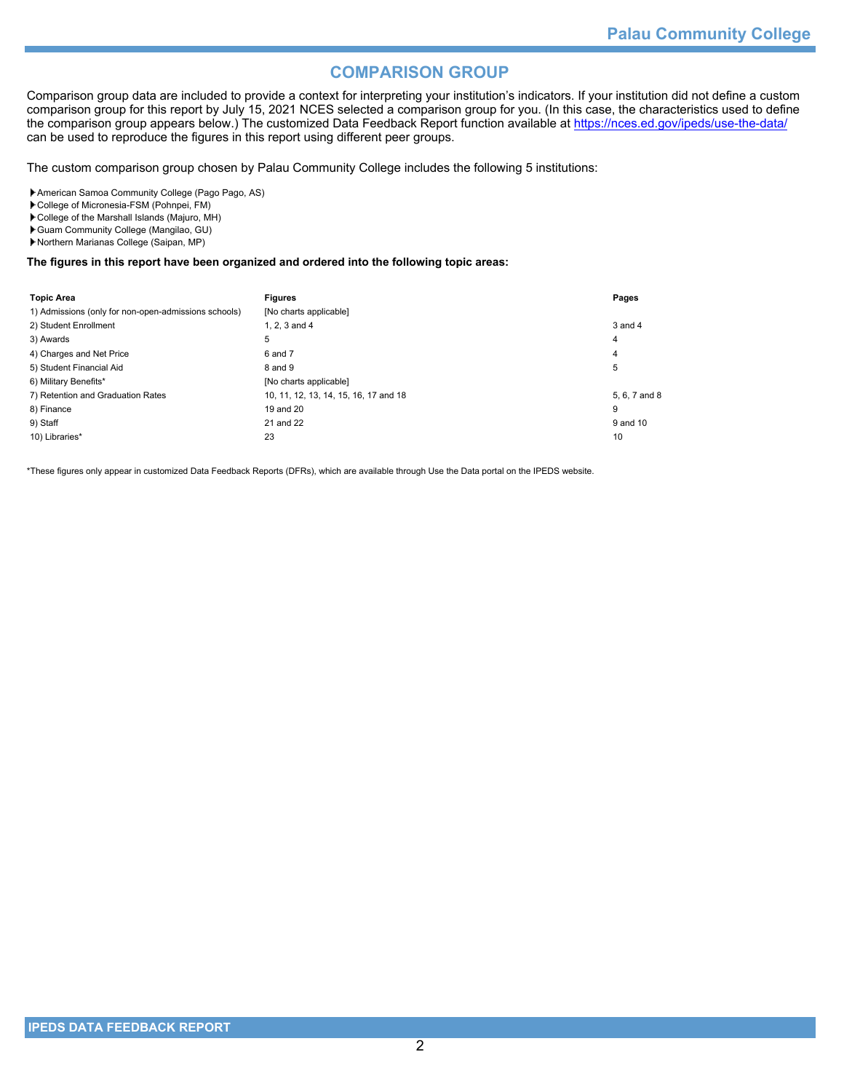# **COMPARISON GROUP**

Comparison group data are included to provide a context for interpreting your institution's indicators. If your institution did not define a custom comparison group for this report by July 15, 2021 NCES selected a comparison group for you. (In this case, the characteristics used to define the comparison group appears below.) The customized Data Feedback Report function available at<https://nces.ed.gov/ipeds/use-the-data/> can be used to reproduce the figures in this report using different peer groups.

The custom comparison group chosen by Palau Community College includes the following 5 institutions:

American Samoa Community College (Pago Pago, AS)

College of Micronesia-FSM (Pohnpei, FM)

College of the Marshall Islands (Majuro, MH)

Guam Community College (Mangilao, GU)

Northern Marianas College (Saipan, MP)

#### **The figures in this report have been organized and ordered into the following topic areas:**

| <b>Topic Area</b>                                    | <b>Figures</b>                        | Pages         |
|------------------------------------------------------|---------------------------------------|---------------|
| 1) Admissions (only for non-open-admissions schools) | [No charts applicable]                |               |
| 2) Student Enrollment                                | 1, 2, 3 and 4                         | 3 and 4       |
| 3) Awards                                            | 5                                     | 4             |
| 4) Charges and Net Price                             | 6 and 7                               | 4             |
| 5) Student Financial Aid                             | 8 and 9                               | 5             |
| 6) Military Benefits*                                | [No charts applicable]                |               |
| 7) Retention and Graduation Rates                    | 10, 11, 12, 13, 14, 15, 16, 17 and 18 | 5, 6, 7 and 8 |
| 8) Finance                                           | 19 and 20                             | 9             |
| 9) Staff                                             | 21 and 22                             | 9 and 10      |
| 10) Libraries*                                       | 23                                    | 10            |

\*These figures only appear in customized Data Feedback Reports (DFRs), which are available through Use the Data portal on the IPEDS website.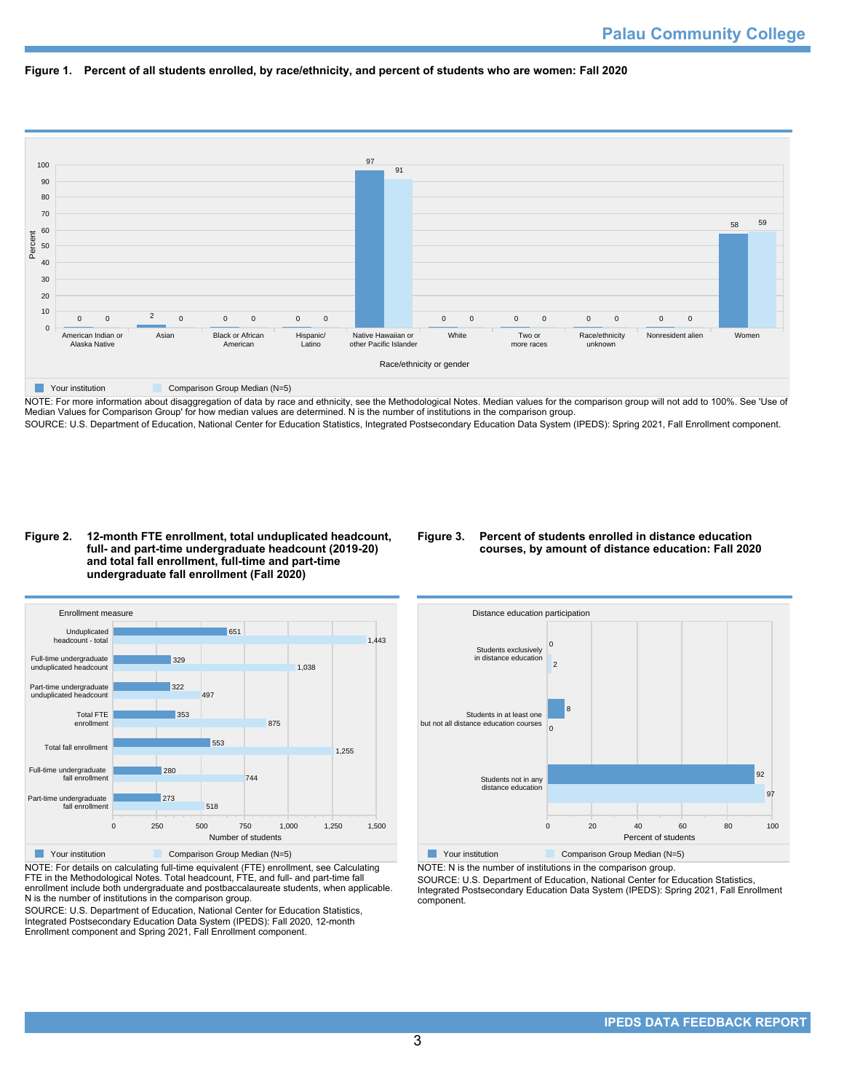



NOTE: For more information about disaggregation of data by race and ethnicity, see the Methodological Notes. Median values for the comparison group will not add to 100%. See 'Use of Median Values for Comparison Group' for how median values are determined. N is the number of institutions in the comparison group. SOURCE: U.S. Department of Education, National Center for Education Statistics, Integrated Postsecondary Education Data System (IPEDS): Spring 2021, Fall Enrollment component.

#### **Figure 2. 12-month FTE enrollment, total unduplicated headcount, full- and part-time undergraduate headcount (2019-20) and total fall enrollment, full-time and part-time undergraduate fall enrollment (Fall 2020)**

## **Figure 3. Percent of students enrolled in distance education courses, by amount of distance education: Fall 2020**



NOTE: For details on calculating full-time equivalent (FTE) enrollment, see Calculating FTE in the Methodological Notes. Total headcount, FTE, and full- and part-time fall enrollment include both undergraduate and postbaccalaureate students, when applicable. N is the number of institutions in the comparison group.

SOURCE: U.S. Department of Education, National Center for Education Statistics, Integrated Postsecondary Education Data System (IPEDS): Fall 2020, 12-month Enrollment component and Spring 2021, Fall Enrollment component.



NOTE: N is the number of institutions in the comparison group.

SOURCE: U.S. Department of Education, National Center for Education Statistics, Integrated Postsecondary Education Data System (IPEDS): Spring 2021, Fall Enrollment component.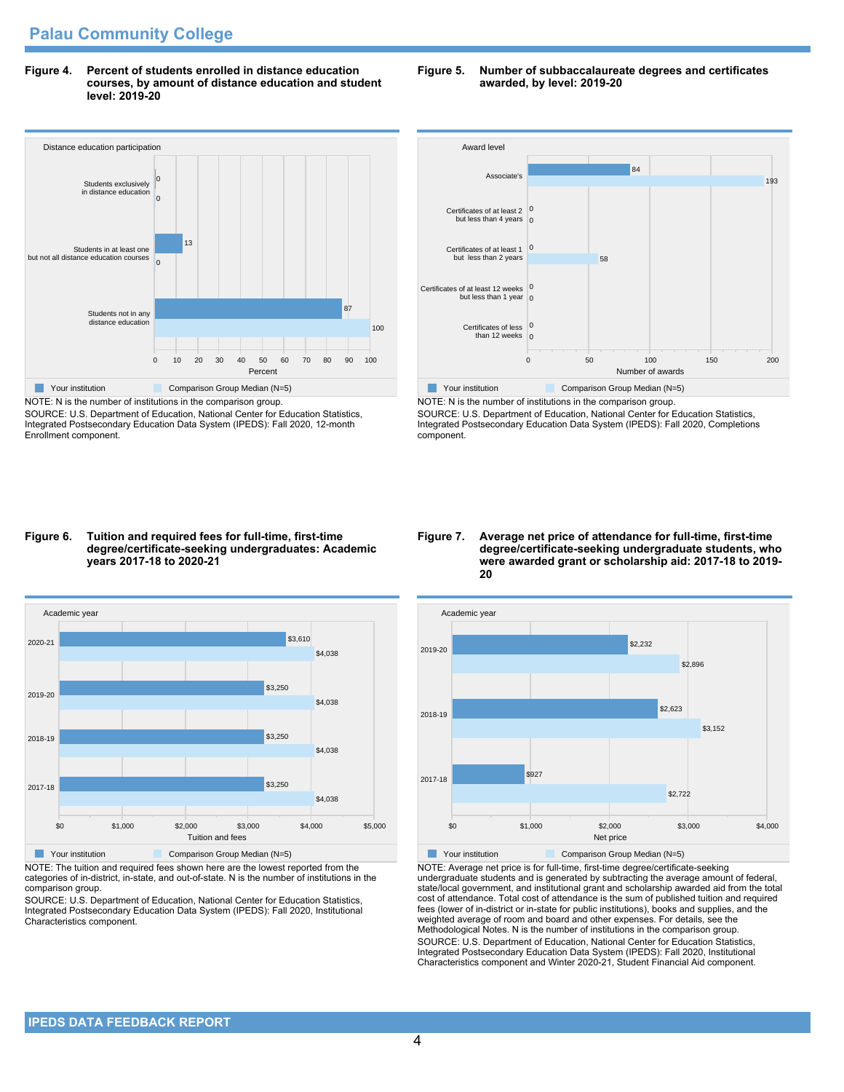**Figure 4. Percent of students enrolled in distance education courses, by amount of distance education and student level: 2019-20**



NOTE: N is the number of institutions in the comparison group. SOURCE: U.S. Department of Education, National Center for Education Statistics, Integrated Postsecondary Education Data System (IPEDS): Fall 2020, 12-month Enrollment component.

#### **Figure 5. Number of subbaccalaureate degrees and certificates awarded, by level: 2019-20**



NOTE: N is the number of institutions in the comparison group. SOURCE: U.S. Department of Education, National Center for Education Statistics, Integrated Postsecondary Education Data System (IPEDS): Fall 2020, Completions component.

#### **Figure 6. Tuition and required fees for full-time, first-time degree/certificate-seeking undergraduates: Academic years 2017-18 to 2020-21**



NOTE: The tuition and required fees shown here are the lowest reported from the categories of in-district, in-state, and out-of-state. N is the number of institutions in the comparison group.

SOURCE: U.S. Department of Education, National Center for Education Statistics, Integrated Postsecondary Education Data System (IPEDS): Fall 2020, Institutional Characteristics component.

#### **Figure 7. Average net price of attendance for full-time, first-time degree/certificate-seeking undergraduate students, who were awarded grant or scholarship aid: 2017-18 to 2019- 20**



NOTE: Average net price is for full-time, first-time degree/certificate-seeking undergraduate students and is generated by subtracting the average amount of federal, state/local government, and institutional grant and scholarship awarded aid from the total cost of attendance. Total cost of attendance is the sum of published tuition and required fees (lower of in-district or in-state for public institutions), books and supplies, and the weighted average of room and board and other expenses. For details, see the Methodological Notes. N is the number of institutions in the comparison group. SOURCE: U.S. Department of Education, National Center for Education Statistics, Integrated Postsecondary Education Data System (IPEDS): Fall 2020, Institutional Characteristics component and Winter 2020-21, Student Financial Aid component.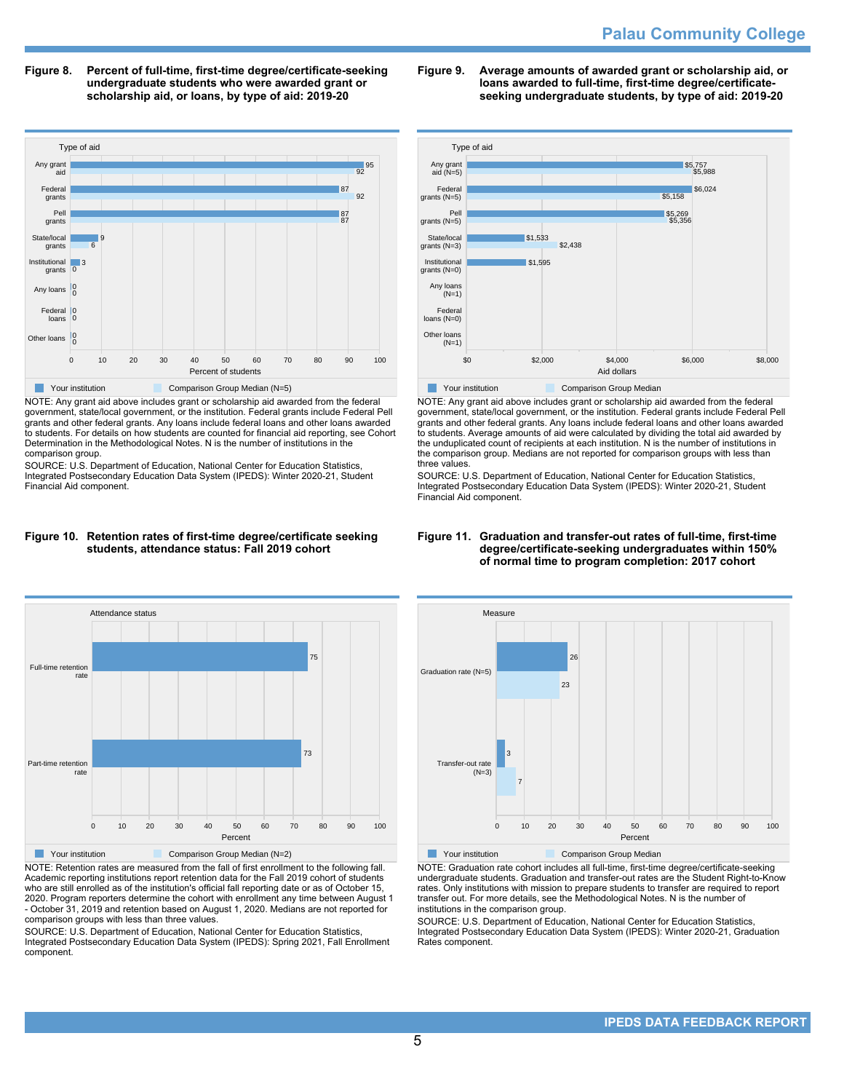**Figure 8. Percent of full-time, first-time degree/certificate-seeking undergraduate students who were awarded grant or scholarship aid, or loans, by type of aid: 2019-20**



NOTE: Any grant aid above includes grant or scholarship aid awarded from the federal government, state/local government, or the institution. Federal grants include Federal Pell grants and other federal grants. Any loans include federal loans and other loans awarded to students. For details on how students are counted for financial aid reporting, see Cohort Determination in the Methodological Notes. N is the number of institutions in the comparison group.

SOURCE: U.S. Department of Education, National Center for Education Statistics, Integrated Postsecondary Education Data System (IPEDS): Winter 2020-21, Student Financial Aid component.



**Figure 9. Average amounts of awarded grant or scholarship aid, or**



NOTE: Any grant aid above includes grant or scholarship aid awarded from the federal government, state/local government, or the institution. Federal grants include Federal Pell grants and other federal grants. Any loans include federal loans and other loans awarded to students. Average amounts of aid were calculated by dividing the total aid awarded by the unduplicated count of recipients at each institution. N is the number of institutions in the comparison group. Medians are not reported for comparison groups with less than three values.

SOURCE: U.S. Department of Education, National Center for Education Statistics, Integrated Postsecondary Education Data System (IPEDS): Winter 2020-21, Student Financial Aid component.

## **Figure 10. Retention rates of first-time degree/certificate seeking students, attendance status: Fall 2019 cohort**



NOTE: Retention rates are measured from the fall of first enrollment to the following fall. Academic reporting institutions report retention data for the Fall 2019 cohort of students who are still enrolled as of the institution's official fall reporting date or as of October 15, 2020. Program reporters determine the cohort with enrollment any time between August 1 - October 31, 2019 and retention based on August 1, 2020. Medians are not reported for comparison groups with less than three values.

SOURCE: U.S. Department of Education, National Center for Education Statistics, Integrated Postsecondary Education Data System (IPEDS): Spring 2021, Fall Enrollment component.

#### **Figure 11. Graduation and transfer-out rates of full-time, first-time degree/certificate-seeking undergraduates within 150% of normal time to program completion: 2017 cohort**



NOTE: Graduation rate cohort includes all full-time, first-time degree/certificate-seeking undergraduate students. Graduation and transfer-out rates are the Student Right-to-Know rates. Only institutions with mission to prepare students to transfer are required to report transfer out. For more details, see the Methodological Notes. N is the number of institutions in the comparison group.

SOURCE: U.S. Department of Education, National Center for Education Statistics, Integrated Postsecondary Education Data System (IPEDS): Winter 2020-21, Graduation Rates component.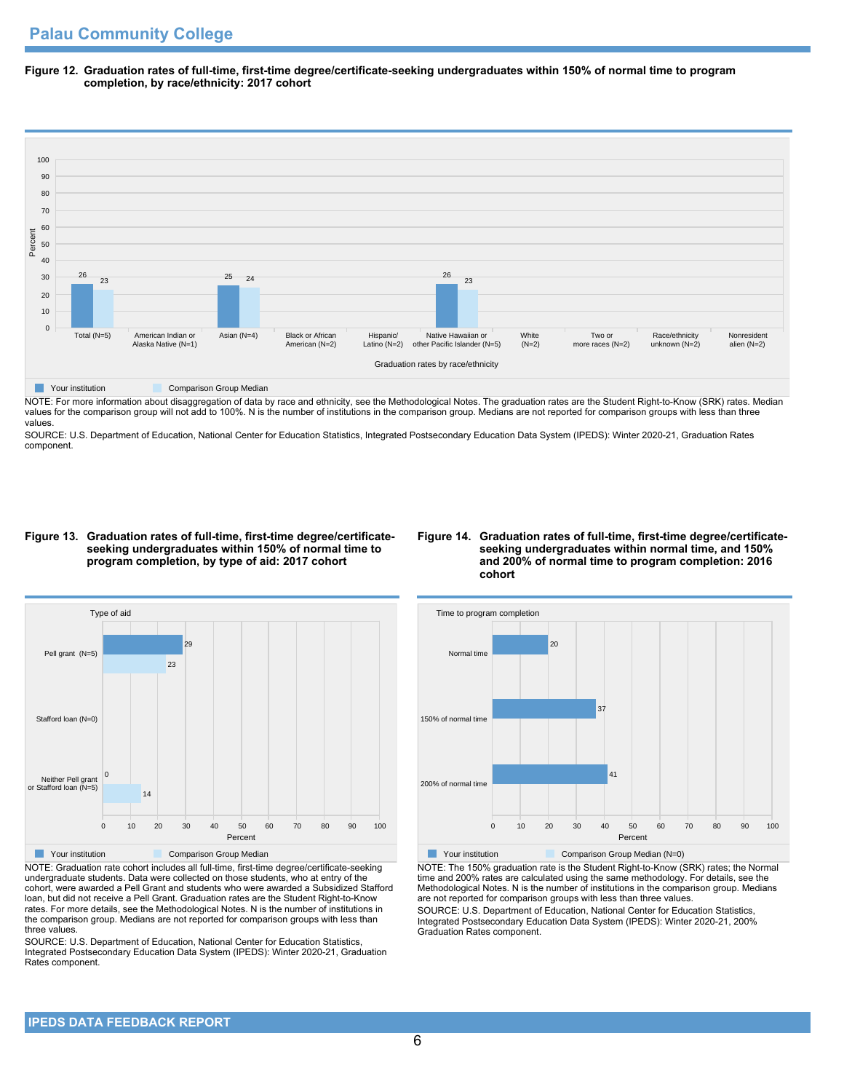**Figure 12. Graduation rates of full-time, first-time degree/certificate-seeking undergraduates within 150% of normal time to program completion, by race/ethnicity: 2017 cohort**



NOTE: For more information about disaggregation of data by race and ethnicity, see the Methodological Notes. The graduation rates are the Student Right-to-Know (SRK) rates. Median values for the comparison group will not add to 100%. N is the number of institutions in the comparison group. Medians are not reported for comparison groups with less than three values.

SOURCE: U.S. Department of Education, National Center for Education Statistics, Integrated Postsecondary Education Data System (IPEDS): Winter 2020-21, Graduation Rates component.

#### **Figure 13. Graduation rates of full-time, first-time degree/certificateseeking undergraduates within 150% of normal time to program completion, by type of aid: 2017 cohort**

## **Figure 14. Graduation rates of full-time, first-time degree/certificateseeking undergraduates within normal time, and 150% and 200% of normal time to program completion: 2016 cohort**



NOTE: Graduation rate cohort includes all full-time, first-time degree/certificate-seeking undergraduate students. Data were collected on those students, who at entry of the cohort, were awarded a Pell Grant and students who were awarded a Subsidized Stafford loan, but did not receive a Pell Grant. Graduation rates are the Student Right-to-Know rates. For more details, see the Methodological Notes. N is the number of institutions in the comparison group. Medians are not reported for comparison groups with less than three values.

SOURCE: U.S. Department of Education, National Center for Education Statistics, Integrated Postsecondary Education Data System (IPEDS): Winter 2020-21, Graduation Rates component.



NOTE: The 150% graduation rate is the Student Right-to-Know (SRK) rates; the Normal time and 200% rates are calculated using the same methodology. For details, see the Methodological Notes. N is the number of institutions in the comparison group. Medians are not reported for comparison groups with less than three values. SOURCE: U.S. Department of Education, National Center for Education Statistics, Integrated Postsecondary Education Data System (IPEDS): Winter 2020-21, 200% Graduation Rates component.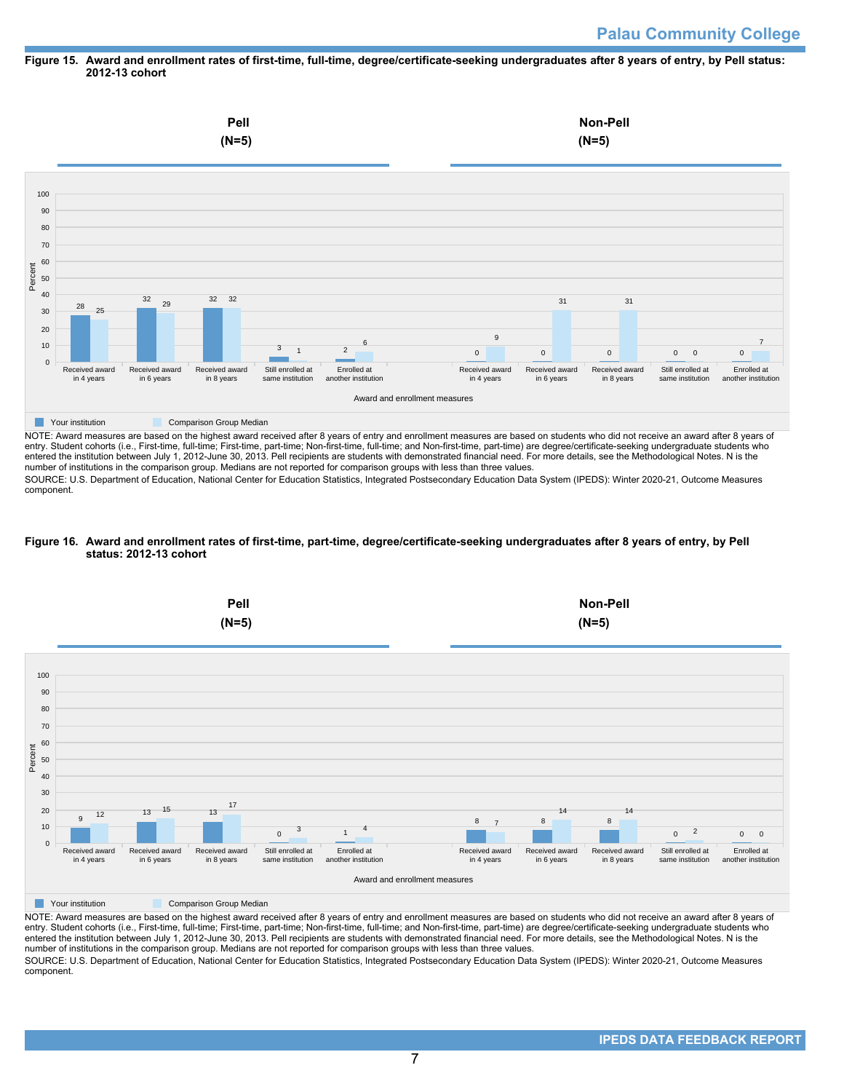#### **Figure 15. Award and enrollment rates of first-time, full-time, degree/certificate-seeking undergraduates after 8 years of entry, by Pell status: 2012-13 cohort**



NOTE: Award measures are based on the highest award received after 8 years of entry and enrollment measures are based on students who did not receive an award after 8 years of entry. Student cohorts (i.e., First-time, full-time; First-time, part-time; Non-first-time, full-time; and Non-first-time, part-time) are degree/certificate-seeking undergraduate students who entered the institution between July 1, 2012-June 30, 2013. Pell recipients are students with demonstrated financial need. For more details, see the Methodological Notes. N is the number of institutions in the comparison group. Medians are not reported for comparison groups with less than three values.

SOURCE: U.S. Department of Education, National Center for Education Statistics, Integrated Postsecondary Education Data System (IPEDS): Winter 2020-21, Outcome Measures component.

## **Figure 16. Award and enrollment rates of first-time, part-time, degree/certificate-seeking undergraduates after 8 years of entry, by Pell status: 2012-13 cohort**



NOTE: Award measures are based on the highest award received after 8 years of entry and enrollment measures are based on students who did not receive an award after 8 years of entry. Student cohorts (i.e., First-time, full-time; First-time, part-time; Non-first-time, full-time; and Non-first-time, part-time) are degree/certificate-seeking undergraduate students who entered the institution between July 1, 2012-June 30, 2013. Pell recipients are students with demonstrated financial need. For more details, see the Methodological Notes. N is the number of institutions in the comparison group. Medians are not reported for comparison groups with less than three values. SOURCE: U.S. Department of Education, National Center for Education Statistics, Integrated Postsecondary Education Data System (IPEDS): Winter 2020-21, Outcome Measures component.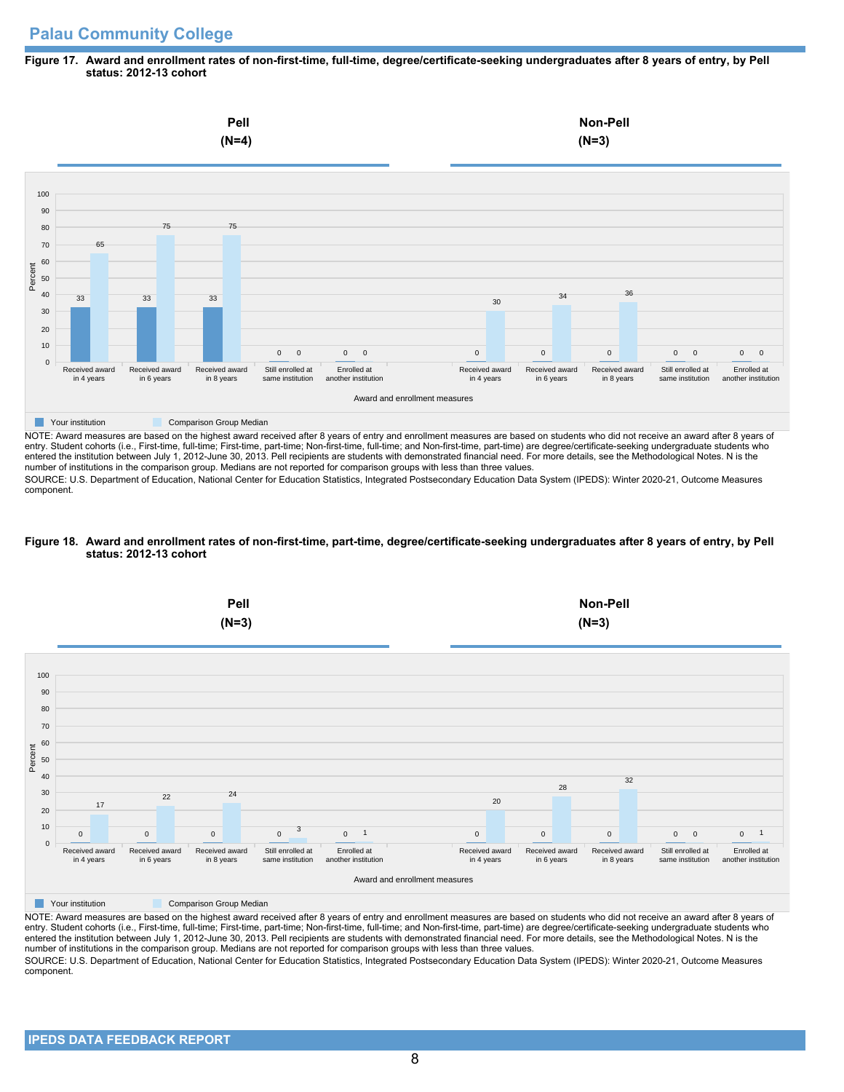# **Palau Community College**

## **Figure 17. Award and enrollment rates of non-first-time, full-time, degree/certificate-seeking undergraduates after 8 years of entry, by Pell status: 2012-13 cohort**



NOTE: Award measures are based on the highest award received after 8 years of entry and enrollment measures are based on students who did not receive an award after 8 years of entry. Student cohorts (i.e., First-time, full-time; First-time, part-time; Non-first-time, full-time; and Non-first-time, part-time) are degree/certificate-seeking undergraduate students who entered the institution between July 1, 2012-June 30, 2013. Pell recipients are students with demonstrated financial need. For more details, see the Methodological Notes. N is the number of institutions in the comparison group. Medians are not reported for comparison groups with less than three values.

SOURCE: U.S. Department of Education, National Center for Education Statistics, Integrated Postsecondary Education Data System (IPEDS): Winter 2020-21, Outcome Measures component.

## **Figure 18. Award and enrollment rates of non-first-time, part-time, degree/certificate-seeking undergraduates after 8 years of entry, by Pell status: 2012-13 cohort**



NOTE: Award measures are based on the highest award received after 8 years of entry and enrollment measures are based on students who did not receive an award after 8 years of entry. Student cohorts (i.e., First-time, full-time; First-time, part-time; Non-first-time, full-time; and Non-first-time, part-time) are degree/certificate-seeking undergraduate students who entered the institution between July 1, 2012-June 30, 2013. Pell recipients are students with demonstrated financial need. For more details, see the Methodological Notes. N is the number of institutions in the comparison group. Medians are not reported for comparison groups with less than three values. SOURCE: U.S. Department of Education, National Center for Education Statistics, Integrated Postsecondary Education Data System (IPEDS): Winter 2020-21, Outcome Measures component.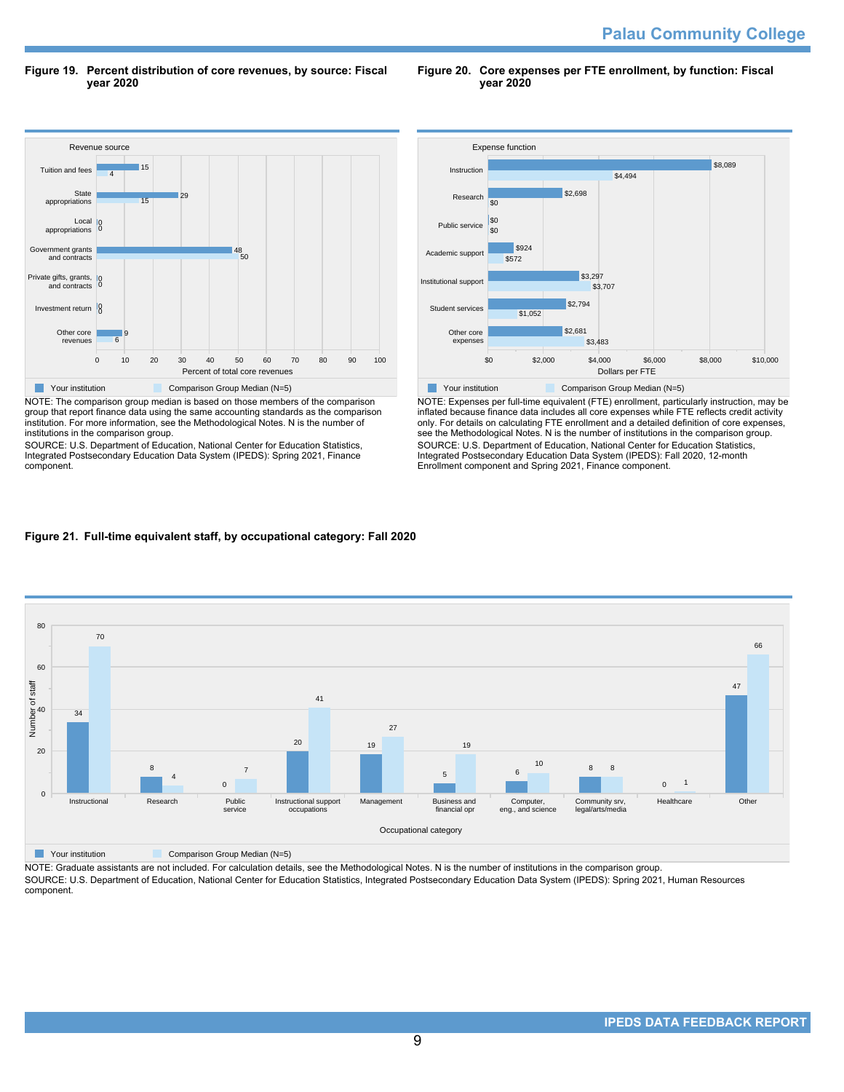**Figure 19. Percent distribution of core revenues, by source: Fiscal year 2020**

**Figure 20. Core expenses per FTE enrollment, by function: Fiscal year 2020**



NOTE: The comparison group median is based on those members of the comparison group that report finance data using the same accounting standards as the comparison institution. For more information, see the Methodological Notes. N is the number of institutions in the comparison group.

SOURCE: U.S. Department of Education, National Center for Education Statistics, Integrated Postsecondary Education Data System (IPEDS): Spring 2021, Finance component.



NOTE: Expenses per full-time equivalent (FTE) enrollment, particularly instruction, may be inflated because finance data includes all core expenses while FTE reflects credit activity only. For details on calculating FTE enrollment and a detailed definition of core expenses, see the Methodological Notes. N is the number of institutions in the comparison group. SOURCE: U.S. Department of Education, National Center for Education Statistics, Integrated Postsecondary Education Data System (IPEDS): Fall 2020, 12-month Enrollment component and Spring 2021, Finance component.

## **Figure 21. Full-time equivalent staff, by occupational category: Fall 2020**



**Your institution** Comparison Group Median (N=5)

NOTE: Graduate assistants are not included. For calculation details, see the Methodological Notes. N is the number of institutions in the comparison group. SOURCE: U.S. Department of Education, National Center for Education Statistics, Integrated Postsecondary Education Data System (IPEDS): Spring 2021, Human Resources component.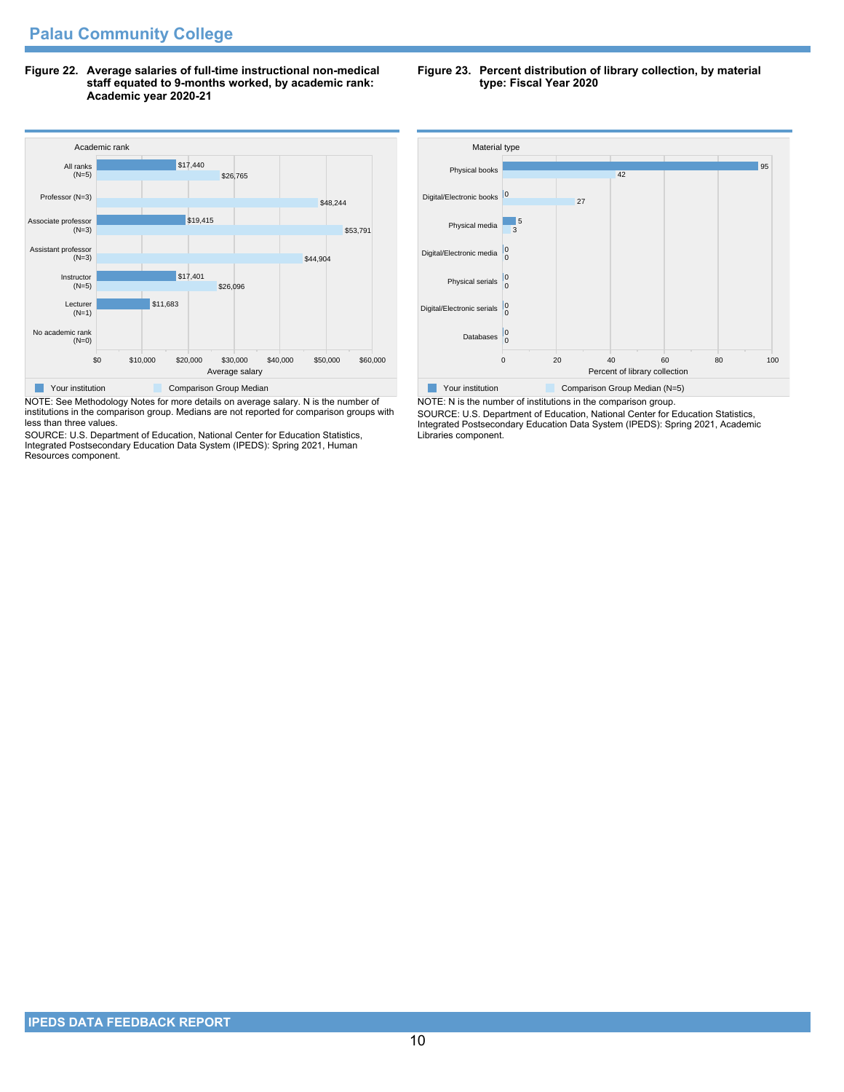**Figure 22. Average salaries of full-time instructional non-medical staff equated to 9-months worked, by academic rank: Academic year 2020-21**



NOTE: See Methodology Notes for more details on average salary. N is the number of institutions in the comparison group. Medians are not reported for comparison groups with less than three values.

SOURCE: U.S. Department of Education, National Center for Education Statistics, Integrated Postsecondary Education Data System (IPEDS): Spring 2021, Human Resources component.

**Figure 23. Percent distribution of library collection, by material type: Fiscal Year 2020**



NOTE: N is the number of institutions in the comparison group. SOURCE: U.S. Department of Education, National Center for Education Statistics, Integrated Postsecondary Education Data System (IPEDS): Spring 2021, Academic Libraries component.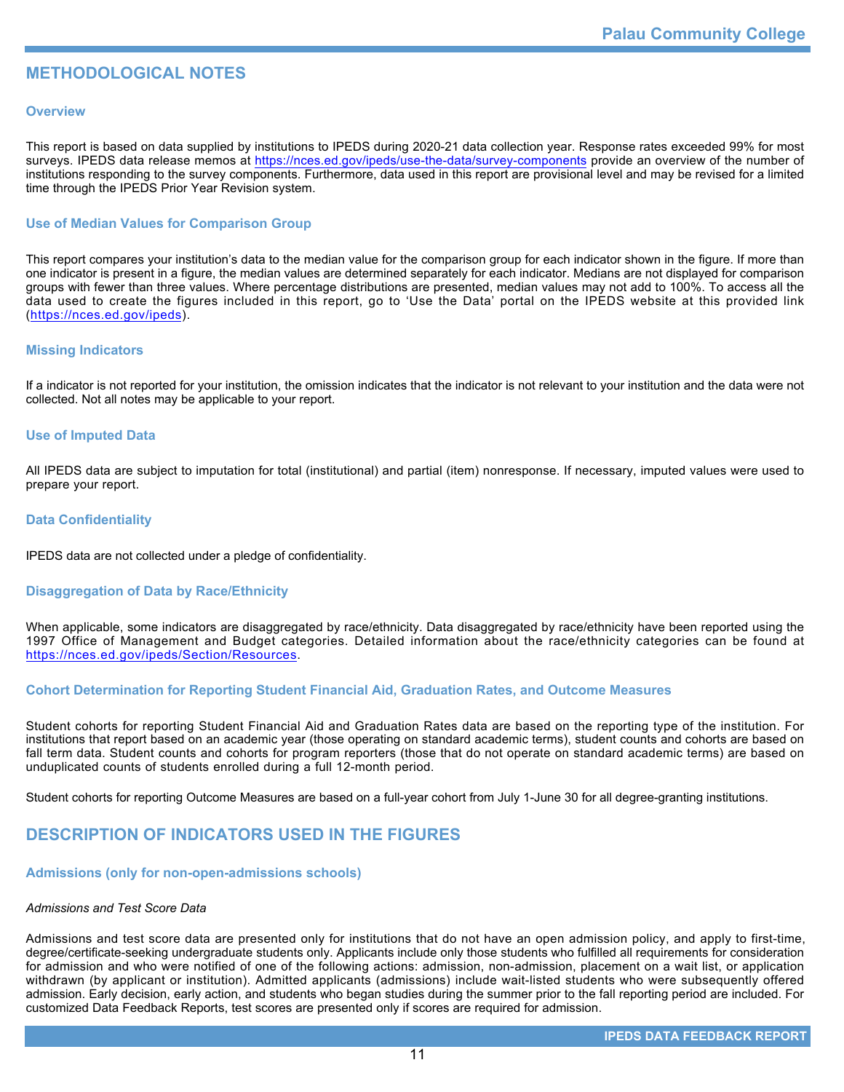# **METHODOLOGICAL NOTES**

## **Overview**

This report is based on data supplied by institutions to IPEDS during 2020-21 data collection year. Response rates exceeded 99% for most surveys. IPEDS data release memos at <https://nces.ed.gov/ipeds/use-the-data/survey-components> provide an overview of the number of institutions responding to the survey components. Furthermore, data used in this report are provisional level and may be revised for a limited time through the IPEDS Prior Year Revision system.

## **Use of Median Values for Comparison Group**

This report compares your institution's data to the median value for the comparison group for each indicator shown in the figure. If more than one indicator is present in a figure, the median values are determined separately for each indicator. Medians are not displayed for comparison groups with fewer than three values. Where percentage distributions are presented, median values may not add to 100%. To access all the data used to create the figures included in this report, go to 'Use the Data' portal on the IPEDS website at this provided link (<https://nces.ed.gov/ipeds>).

## **Missing Indicators**

If a indicator is not reported for your institution, the omission indicates that the indicator is not relevant to your institution and the data were not collected. Not all notes may be applicable to your report.

## **Use of Imputed Data**

All IPEDS data are subject to imputation for total (institutional) and partial (item) nonresponse. If necessary, imputed values were used to prepare your report.

## **Data Confidentiality**

IPEDS data are not collected under a pledge of confidentiality.

## **Disaggregation of Data by Race/Ethnicity**

When applicable, some indicators are disaggregated by race/ethnicity. Data disaggregated by race/ethnicity have been reported using the 1997 Office of Management and Budget categories. Detailed information about the race/ethnicity categories can be found at <https://nces.ed.gov/ipeds/Section/Resources>.

## **Cohort Determination for Reporting Student Financial Aid, Graduation Rates, and Outcome Measures**

Student cohorts for reporting Student Financial Aid and Graduation Rates data are based on the reporting type of the institution. For institutions that report based on an academic year (those operating on standard academic terms), student counts and cohorts are based on fall term data. Student counts and cohorts for program reporters (those that do not operate on standard academic terms) are based on unduplicated counts of students enrolled during a full 12-month period.

Student cohorts for reporting Outcome Measures are based on a full-year cohort from July 1-June 30 for all degree-granting institutions.

# **DESCRIPTION OF INDICATORS USED IN THE FIGURES**

## **Admissions (only for non-open-admissions schools)**

## *Admissions and Test Score Data*

Admissions and test score data are presented only for institutions that do not have an open admission policy, and apply to first-time, degree/certificate-seeking undergraduate students only. Applicants include only those students who fulfilled all requirements for consideration for admission and who were notified of one of the following actions: admission, non-admission, placement on a wait list, or application withdrawn (by applicant or institution). Admitted applicants (admissions) include wait-listed students who were subsequently offered admission. Early decision, early action, and students who began studies during the summer prior to the fall reporting period are included. For customized Data Feedback Reports, test scores are presented only if scores are required for admission.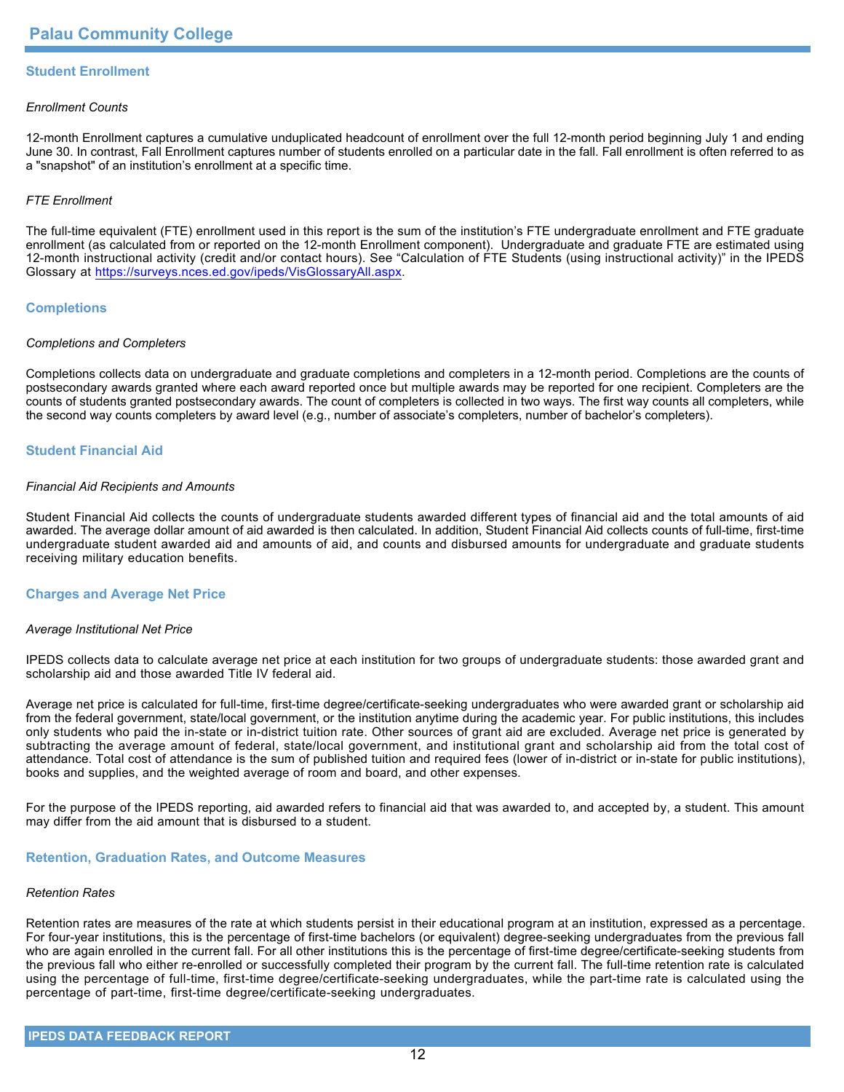# **Student Enrollment**

## *Enrollment Counts*

12-month Enrollment captures a cumulative unduplicated headcount of enrollment over the full 12-month period beginning July 1 and ending June 30. In contrast, Fall Enrollment captures number of students enrolled on a particular date in the fall. Fall enrollment is often referred to as a "snapshot" of an institution's enrollment at a specific time.

## *FTE Enrollment*

The full-time equivalent (FTE) enrollment used in this report is the sum of the institution's FTE undergraduate enrollment and FTE graduate enrollment (as calculated from or reported on the 12-month Enrollment component). Undergraduate and graduate FTE are estimated using 12-month instructional activity (credit and/or contact hours). See "Calculation of FTE Students (using instructional activity)" in the IPEDS Glossary at <https://surveys.nces.ed.gov/ipeds/VisGlossaryAll.aspx>.

## **Completions**

## *Completions and Completers*

Completions collects data on undergraduate and graduate completions and completers in a 12-month period. Completions are the counts of postsecondary awards granted where each award reported once but multiple awards may be reported for one recipient. Completers are the counts of students granted postsecondary awards. The count of completers is collected in two ways. The first way counts all completers, while the second way counts completers by award level (e.g., number of associate's completers, number of bachelor's completers).

## **Student Financial Aid**

#### *Financial Aid Recipients and Amounts*

Student Financial Aid collects the counts of undergraduate students awarded different types of financial aid and the total amounts of aid awarded. The average dollar amount of aid awarded is then calculated. In addition, Student Financial Aid collects counts of full-time, first-time undergraduate student awarded aid and amounts of aid, and counts and disbursed amounts for undergraduate and graduate students receiving military education benefits.

## **Charges and Average Net Price**

## *Average Institutional Net Price*

IPEDS collects data to calculate average net price at each institution for two groups of undergraduate students: those awarded grant and scholarship aid and those awarded Title IV federal aid.

Average net price is calculated for full-time, first-time degree/certificate-seeking undergraduates who were awarded grant or scholarship aid from the federal government, state/local government, or the institution anytime during the academic year. For public institutions, this includes only students who paid the in-state or in-district tuition rate. Other sources of grant aid are excluded. Average net price is generated by subtracting the average amount of federal, state/local government, and institutional grant and scholarship aid from the total cost of attendance. Total cost of attendance is the sum of published tuition and required fees (lower of in-district or in-state for public institutions), books and supplies, and the weighted average of room and board, and other expenses.

For the purpose of the IPEDS reporting, aid awarded refers to financial aid that was awarded to, and accepted by, a student. This amount may differ from the aid amount that is disbursed to a student.

## **Retention, Graduation Rates, and Outcome Measures**

## *Retention Rates*

Retention rates are measures of the rate at which students persist in their educational program at an institution, expressed as a percentage. For four-year institutions, this is the percentage of first-time bachelors (or equivalent) degree-seeking undergraduates from the previous fall who are again enrolled in the current fall. For all other institutions this is the percentage of first-time degree/certificate-seeking students from the previous fall who either re-enrolled or successfully completed their program by the current fall. The full-time retention rate is calculated using the percentage of full-time, first-time degree/certificate-seeking undergraduates, while the part-time rate is calculated using the percentage of part-time, first-time degree/certificate-seeking undergraduates.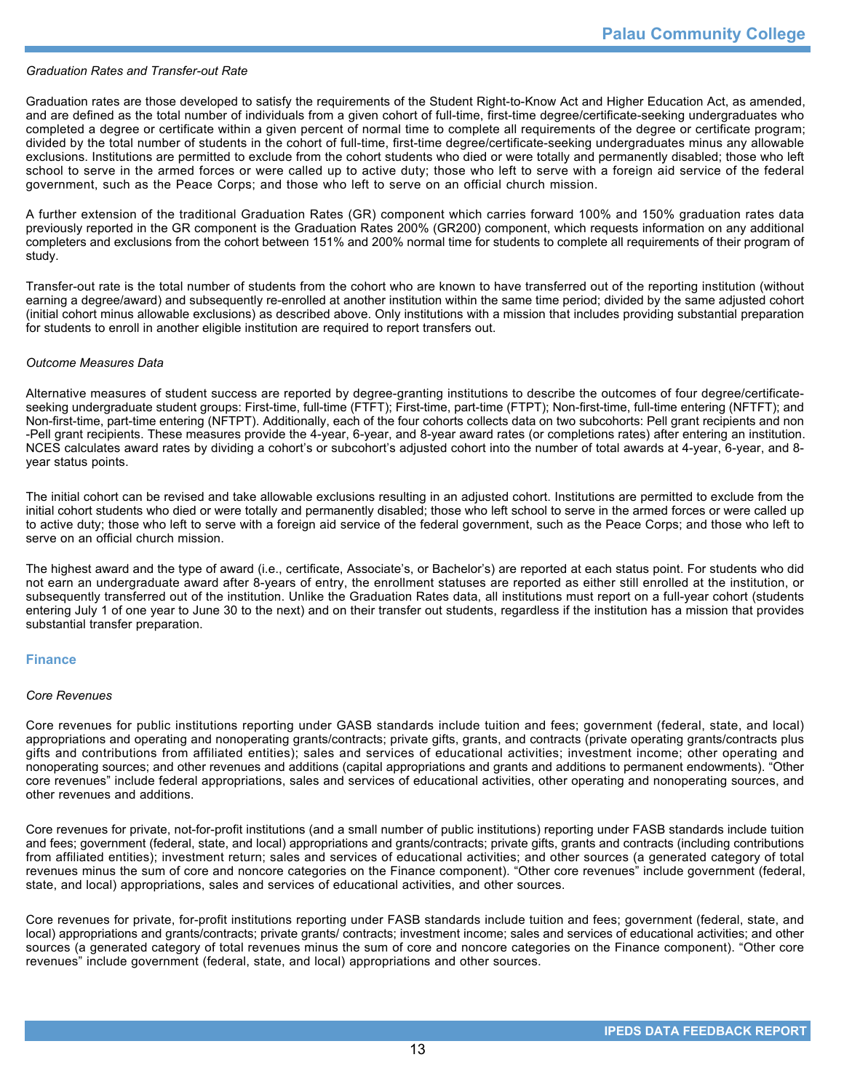#### *Graduation Rates and Transfer-out Rate*

Graduation rates are those developed to satisfy the requirements of the Student Right-to-Know Act and Higher Education Act, as amended, and are defined as the total number of individuals from a given cohort of full-time, first-time degree/certificate-seeking undergraduates who completed a degree or certificate within a given percent of normal time to complete all requirements of the degree or certificate program; divided by the total number of students in the cohort of full-time, first-time degree/certificate-seeking undergraduates minus any allowable exclusions. Institutions are permitted to exclude from the cohort students who died or were totally and permanently disabled; those who left school to serve in the armed forces or were called up to active duty; those who left to serve with a foreign aid service of the federal government, such as the Peace Corps; and those who left to serve on an official church mission.

A further extension of the traditional Graduation Rates (GR) component which carries forward 100% and 150% graduation rates data previously reported in the GR component is the Graduation Rates 200% (GR200) component, which requests information on any additional completers and exclusions from the cohort between 151% and 200% normal time for students to complete all requirements of their program of study.

Transfer-out rate is the total number of students from the cohort who are known to have transferred out of the reporting institution (without earning a degree/award) and subsequently re-enrolled at another institution within the same time period; divided by the same adjusted cohort (initial cohort minus allowable exclusions) as described above. Only institutions with a mission that includes providing substantial preparation for students to enroll in another eligible institution are required to report transfers out.

#### *Outcome Measures Data*

Alternative measures of student success are reported by degree-granting institutions to describe the outcomes of four degree/certificateseeking undergraduate student groups: First-time, full-time (FTFT); First-time, part-time (FTPT); Non-first-time, full-time entering (NFTFT); and Non-first-time, part-time entering (NFTPT). Additionally, each of the four cohorts collects data on two subcohorts: Pell grant recipients and non -Pell grant recipients. These measures provide the 4-year, 6-year, and 8-year award rates (or completions rates) after entering an institution. NCES calculates award rates by dividing a cohort's or subcohort's adjusted cohort into the number of total awards at 4-year, 6-year, and 8year status points.

The initial cohort can be revised and take allowable exclusions resulting in an adjusted cohort. Institutions are permitted to exclude from the initial cohort students who died or were totally and permanently disabled; those who left school to serve in the armed forces or were called up to active duty; those who left to serve with a foreign aid service of the federal government, such as the Peace Corps; and those who left to serve on an official church mission.

The highest award and the type of award (i.e., certificate, Associate's, or Bachelor's) are reported at each status point. For students who did not earn an undergraduate award after 8-years of entry, the enrollment statuses are reported as either still enrolled at the institution, or subsequently transferred out of the institution. Unlike the Graduation Rates data, all institutions must report on a full-year cohort (students entering July 1 of one year to June 30 to the next) and on their transfer out students, regardless if the institution has a mission that provides substantial transfer preparation.

## **Finance**

#### *Core Revenues*

Core revenues for public institutions reporting under GASB standards include tuition and fees; government (federal, state, and local) appropriations and operating and nonoperating grants/contracts; private gifts, grants, and contracts (private operating grants/contracts plus gifts and contributions from affiliated entities); sales and services of educational activities; investment income; other operating and nonoperating sources; and other revenues and additions (capital appropriations and grants and additions to permanent endowments). "Other core revenues" include federal appropriations, sales and services of educational activities, other operating and nonoperating sources, and other revenues and additions.

Core revenues for private, not-for-profit institutions (and a small number of public institutions) reporting under FASB standards include tuition and fees; government (federal, state, and local) appropriations and grants/contracts; private gifts, grants and contracts (including contributions from affiliated entities); investment return; sales and services of educational activities; and other sources (a generated category of total revenues minus the sum of core and noncore categories on the Finance component). "Other core revenues" include government (federal, state, and local) appropriations, sales and services of educational activities, and other sources.

Core revenues for private, for-profit institutions reporting under FASB standards include tuition and fees; government (federal, state, and local) appropriations and grants/contracts; private grants/ contracts; investment income; sales and services of educational activities; and other sources (a generated category of total revenues minus the sum of core and noncore categories on the Finance component). "Other core revenues" include government (federal, state, and local) appropriations and other sources.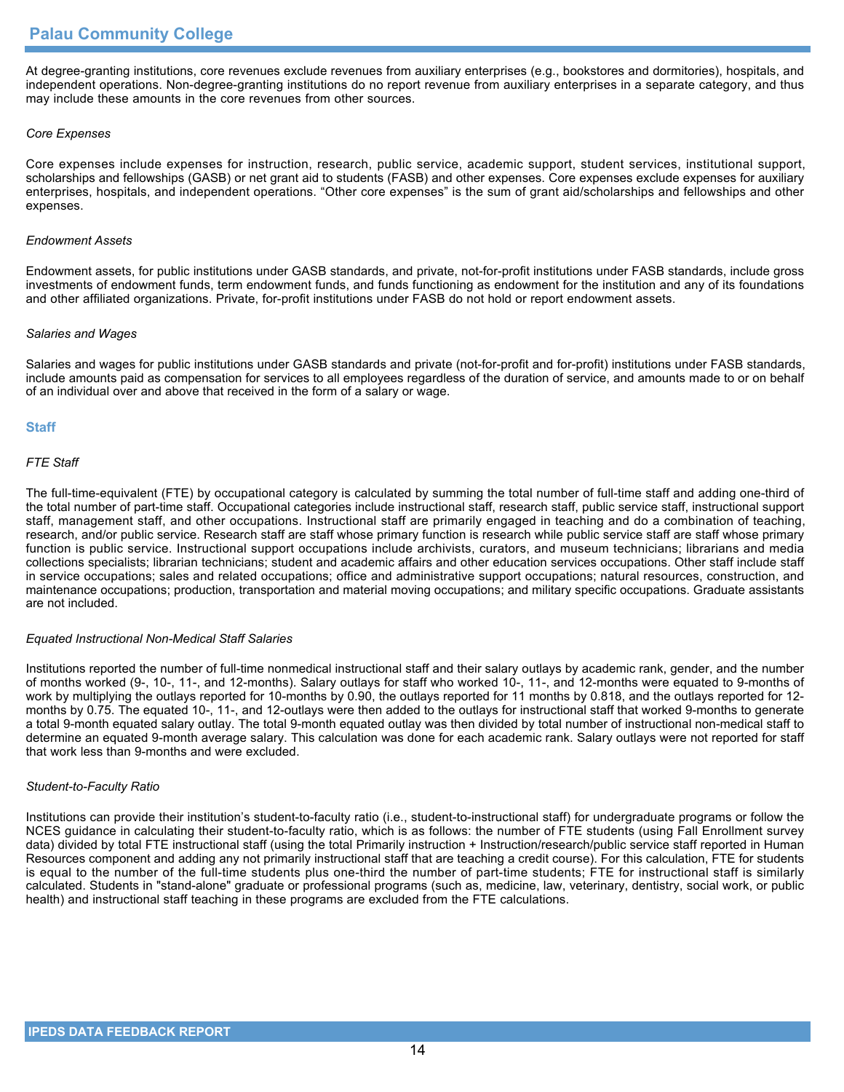At degree-granting institutions, core revenues exclude revenues from auxiliary enterprises (e.g., bookstores and dormitories), hospitals, and independent operations. Non-degree-granting institutions do no report revenue from auxiliary enterprises in a separate category, and thus may include these amounts in the core revenues from other sources.

## *Core Expenses*

Core expenses include expenses for instruction, research, public service, academic support, student services, institutional support, scholarships and fellowships (GASB) or net grant aid to students (FASB) and other expenses. Core expenses exclude expenses for auxiliary enterprises, hospitals, and independent operations. "Other core expenses" is the sum of grant aid/scholarships and fellowships and other expenses.

## *Endowment Assets*

Endowment assets, for public institutions under GASB standards, and private, not-for-profit institutions under FASB standards, include gross investments of endowment funds, term endowment funds, and funds functioning as endowment for the institution and any of its foundations and other affiliated organizations. Private, for-profit institutions under FASB do not hold or report endowment assets.

## *Salaries and Wages*

Salaries and wages for public institutions under GASB standards and private (not-for-profit and for-profit) institutions under FASB standards, include amounts paid as compensation for services to all employees regardless of the duration of service, and amounts made to or on behalf of an individual over and above that received in the form of a salary or wage.

## **Staff**

## *FTE Staff*

The full-time-equivalent (FTE) by occupational category is calculated by summing the total number of full-time staff and adding one-third of the total number of part-time staff. Occupational categories include instructional staff, research staff, public service staff, instructional support staff, management staff, and other occupations. Instructional staff are primarily engaged in teaching and do a combination of teaching, research, and/or public service. Research staff are staff whose primary function is research while public service staff are staff whose primary function is public service. Instructional support occupations include archivists, curators, and museum technicians; librarians and media collections specialists; librarian technicians; student and academic affairs and other education services occupations. Other staff include staff in service occupations; sales and related occupations; office and administrative support occupations; natural resources, construction, and maintenance occupations; production, transportation and material moving occupations; and military specific occupations. Graduate assistants are not included.

## *Equated Instructional Non-Medical Staff Salaries*

Institutions reported the number of full-time nonmedical instructional staff and their salary outlays by academic rank, gender, and the number of months worked (9-, 10-, 11-, and 12-months). Salary outlays for staff who worked 10-, 11-, and 12-months were equated to 9-months of work by multiplying the outlays reported for 10-months by 0.90, the outlays reported for 11 months by 0.818, and the outlays reported for 12 months by 0.75. The equated 10-, 11-, and 12-outlays were then added to the outlays for instructional staff that worked 9-months to generate a total 9-month equated salary outlay. The total 9-month equated outlay was then divided by total number of instructional non-medical staff to determine an equated 9-month average salary. This calculation was done for each academic rank. Salary outlays were not reported for staff that work less than 9-months and were excluded.

## *Student-to-Faculty Ratio*

Institutions can provide their institution's student-to-faculty ratio (i.e., student-to-instructional staff) for undergraduate programs or follow the NCES guidance in calculating their student-to-faculty ratio, which is as follows: the number of FTE students (using Fall Enrollment survey data) divided by total FTE instructional staff (using the total Primarily instruction + Instruction/research/public service staff reported in Human Resources component and adding any not primarily instructional staff that are teaching a credit course). For this calculation, FTE for students is equal to the number of the full-time students plus one-third the number of part-time students; FTE for instructional staff is similarly calculated. Students in "stand-alone" graduate or professional programs (such as, medicine, law, veterinary, dentistry, social work, or public health) and instructional staff teaching in these programs are excluded from the FTE calculations.